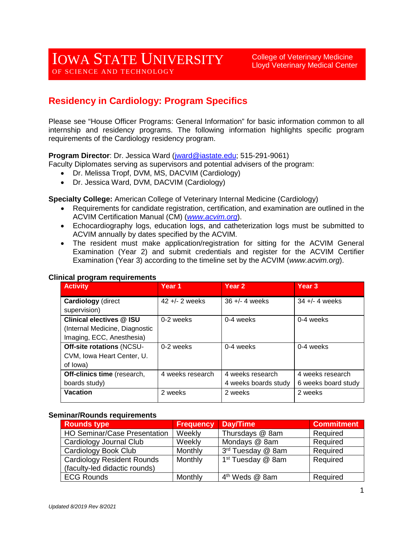College of Veterinary Medicine Lloyd Veterinary Medical Center

# **Residency in Cardiology: Program Specifics**

Please see "House Officer Programs: General Information" for basic information common to all internship and residency programs. The following information highlights specific program requirements of the Cardiology residency program.

**Program Director**: Dr. Jessica Ward [\(jward@iastate.edu;](mailto:jward@iastate.edu) 515-291-9061)

- Faculty Diplomates serving as supervisors and potential advisers of the program:
	- Dr. Melissa Tropf, DVM, MS, DACVIM (Cardiology)
	- Dr. Jessica Ward, DVM, DACVIM (Cardiology)

**Specialty College:** American College of Veterinary Internal Medicine (Cardiology)

- Requirements for candidate registration, certification, and examination are outlined in the ACVIM Certification Manual (CM) (*[www.acvim.org](http://www.acvim.org/)*).
- Echocardiography logs, education logs, and catheterization logs must be submitted to ACVIM annually by dates specified by the ACVIM.
- The resident must make application/registration for sitting for the ACVIM General Examination (Year 2) and submit credentials and register for the ACVIM Certifier Examination (Year 3) according to the timeline set by the ACVIM (*www.acvim.org*).

| <b>Activity</b>                  | Year 1           | Year <sub>2</sub>    | Year <sub>3</sub>   |
|----------------------------------|------------------|----------------------|---------------------|
| <b>Cardiology</b> (direct        | $42 + - 2$ weeks | $36 +/- 4$ weeks     | $34 +/- 4$ weeks    |
| supervision)                     |                  |                      |                     |
| <b>Clinical electives @ ISU</b>  | 0-2 weeks        | 0-4 weeks            | 0-4 weeks           |
| (Internal Medicine, Diagnostic   |                  |                      |                     |
| Imaging, ECC, Anesthesia)        |                  |                      |                     |
| <b>Off-site rotations (NCSU-</b> | $0-2$ weeks      | 0-4 weeks            | 0-4 weeks           |
| CVM, Iowa Heart Center, U.       |                  |                      |                     |
| of lowa)                         |                  |                      |                     |
| Off-clinics time (research,      | 4 weeks research | 4 weeks research     | 4 weeks research    |
| boards study)                    |                  | 4 weeks boards study | 6 weeks board study |
| <b>Vacation</b>                  | 2 weeks          | 2 weeks              | 2 weeks             |

### **Clinical program requirements**

#### **Seminar/Rounds requirements**

| <b>Rounds type</b>                  | <b>Frequency</b> | Day/Time                      | <b>Commitment</b> |
|-------------------------------------|------------------|-------------------------------|-------------------|
| <b>HO Seminar/Case Presentation</b> | Weekly           | Thursdays @ 8am               | Required          |
| Cardiology Journal Club             | Weekly           | Mondays @ 8am                 | Required          |
| Cardiology Book Club                | Monthly          | 3rd Tuesday @ 8am             | Required          |
| <b>Cardiology Resident Rounds</b>   | Monthly          | 1 <sup>st</sup> Tuesday @ 8am | Required          |
| (faculty-led didactic rounds)       |                  |                               |                   |
| <b>ECG Rounds</b>                   | Monthly          | 4 <sup>th</sup> Weds @ 8am    | Required          |